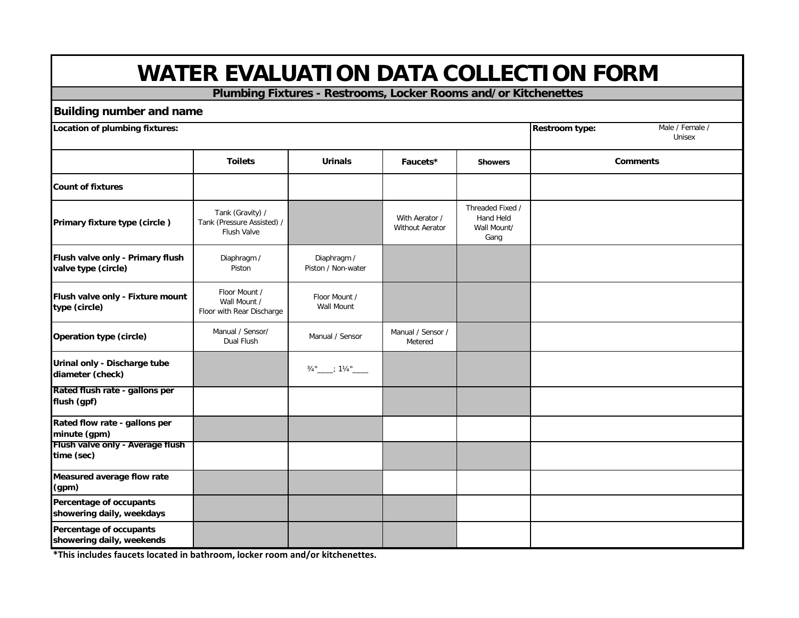**Plumbing Fixtures - Restrooms, Locker Rooms and/or Kitchenettes**

#### **Building number and name**

| <b>DUINING HUILIDEL ANU HANIC</b>                       |                                                                      |                                   |                                          |                                                      | Male / Female /<br><b>Restroom type:</b> |  |  |
|---------------------------------------------------------|----------------------------------------------------------------------|-----------------------------------|------------------------------------------|------------------------------------------------------|------------------------------------------|--|--|
| Location of plumbing fixtures:                          |                                                                      |                                   |                                          |                                                      |                                          |  |  |
|                                                         | <b>Toilets</b>                                                       | <b>Urinals</b>                    | Faucets*                                 | <b>Showers</b>                                       | <b>Comments</b>                          |  |  |
| <b>Count of fixtures</b>                                |                                                                      |                                   |                                          |                                                      |                                          |  |  |
| Primary fixture type (circle)                           | Tank (Gravity) /<br>Tank (Pressure Assisted) /<br><b>Flush Valve</b> |                                   | With Aerator /<br><b>Without Aerator</b> | Threaded Fixed /<br>Hand Held<br>Wall Mount/<br>Gang |                                          |  |  |
| Flush valve only - Primary flush<br>valve type (circle) | Diaphragm /<br>Piston                                                | Diaphragm /<br>Piston / Non-water |                                          |                                                      |                                          |  |  |
| Flush valve only - Fixture mount<br>type (circle)       | Floor Mount /<br>Wall Mount /<br>Floor with Rear Discharge           | Floor Mount /<br>Wall Mount       |                                          |                                                      |                                          |  |  |
| Operation type (circle)                                 | Manual / Sensor/<br>Dual Flush                                       | Manual / Sensor                   | Manual / Sensor /<br>Metered             |                                                      |                                          |  |  |
| Urinal only - Discharge tube<br>diameter (check)        |                                                                      | 3/4"____; 11/4"_____              |                                          |                                                      |                                          |  |  |
| Rated flush rate - gallons per<br>flush (gpf)           |                                                                      |                                   |                                          |                                                      |                                          |  |  |
| Rated flow rate - gallons per<br>minute (gpm)           |                                                                      |                                   |                                          |                                                      |                                          |  |  |
| Flush valve only - Average flush<br>time (sec)          |                                                                      |                                   |                                          |                                                      |                                          |  |  |
| Measured average flow rate<br>(gpm)                     |                                                                      |                                   |                                          |                                                      |                                          |  |  |
| Percentage of occupants<br>showering daily, weekdays    |                                                                      |                                   |                                          |                                                      |                                          |  |  |
| Percentage of occupants<br>showering daily, weekends    |                                                                      |                                   |                                          |                                                      |                                          |  |  |

**\*This includes faucets located in bathroom, locker room and/or kitchenettes.**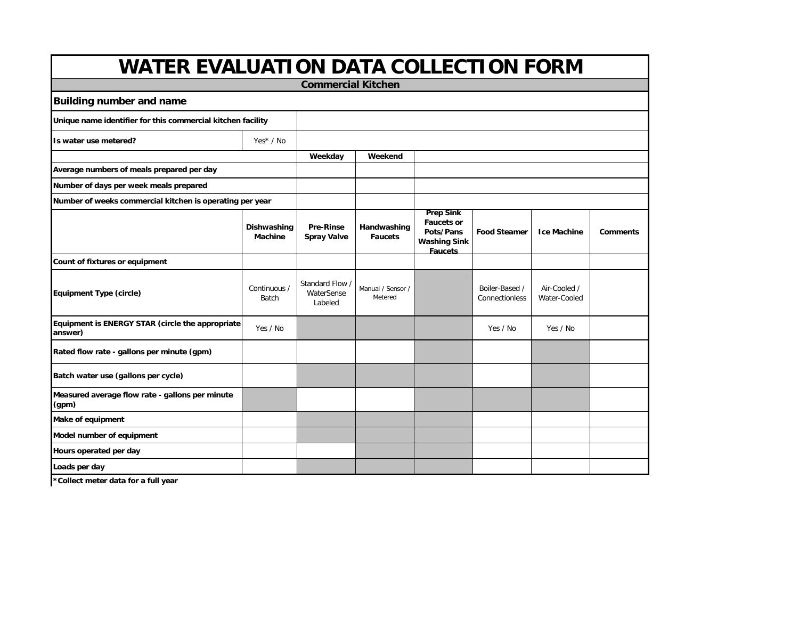| <b>WATER EVALUATION DATA COLLECTION FORM</b>                |                               |                                          |                               |                                                                                             |                                  |                              |                 |
|-------------------------------------------------------------|-------------------------------|------------------------------------------|-------------------------------|---------------------------------------------------------------------------------------------|----------------------------------|------------------------------|-----------------|
| <b>Commercial Kitchen</b>                                   |                               |                                          |                               |                                                                                             |                                  |                              |                 |
| <b>Building number and name</b>                             |                               |                                          |                               |                                                                                             |                                  |                              |                 |
| Unique name identifier for this commercial kitchen facility |                               |                                          |                               |                                                                                             |                                  |                              |                 |
| Is water use metered?                                       | Yes* / No                     |                                          |                               |                                                                                             |                                  |                              |                 |
|                                                             |                               | Weekday                                  | Weekend                       |                                                                                             |                                  |                              |                 |
| Average numbers of meals prepared per day                   |                               |                                          |                               |                                                                                             |                                  |                              |                 |
| Number of days per week meals prepared                      |                               |                                          |                               |                                                                                             |                                  |                              |                 |
| Number of weeks commercial kitchen is operating per year    |                               |                                          |                               |                                                                                             |                                  |                              |                 |
|                                                             | Dishwashing<br><b>Machine</b> | <b>Pre-Rinse</b><br><b>Spray Valve</b>   | Handwashing<br><b>Faucets</b> | <b>Prep Sink</b><br><b>Faucets or</b><br>Pots/Pans<br><b>Washing Sink</b><br><b>Faucets</b> | <b>Food Steamer</b>              | <b>Ice Machine</b>           | <b>Comments</b> |
| Count of fixtures or equipment                              |                               |                                          |                               |                                                                                             |                                  |                              |                 |
| <b>Equipment Type (circle)</b>                              | Continuous /<br><b>Batch</b>  | Standard Flow /<br>WaterSense<br>Labeled | Manual / Sensor /<br>Metered  |                                                                                             | Boiler-Based /<br>Connectionless | Air-Cooled /<br>Water-Cooled |                 |
| Equipment is ENERGY STAR (circle the appropriate<br>answer) | Yes / No                      |                                          |                               |                                                                                             | Yes / No                         | Yes / No                     |                 |
| Rated flow rate - gallons per minute (gpm)                  |                               |                                          |                               |                                                                                             |                                  |                              |                 |
| Batch water use (gallons per cycle)                         |                               |                                          |                               |                                                                                             |                                  |                              |                 |
| Measured average flow rate - gallons per minute<br>(gpm)    |                               |                                          |                               |                                                                                             |                                  |                              |                 |
| Make of equipment                                           |                               |                                          |                               |                                                                                             |                                  |                              |                 |
| Model number of equipment                                   |                               |                                          |                               |                                                                                             |                                  |                              |                 |
| Hours operated per day                                      |                               |                                          |                               |                                                                                             |                                  |                              |                 |
| Loads per day                                               |                               |                                          |                               |                                                                                             |                                  |                              |                 |
|                                                             |                               |                                          |                               |                                                                                             |                                  |                              |                 |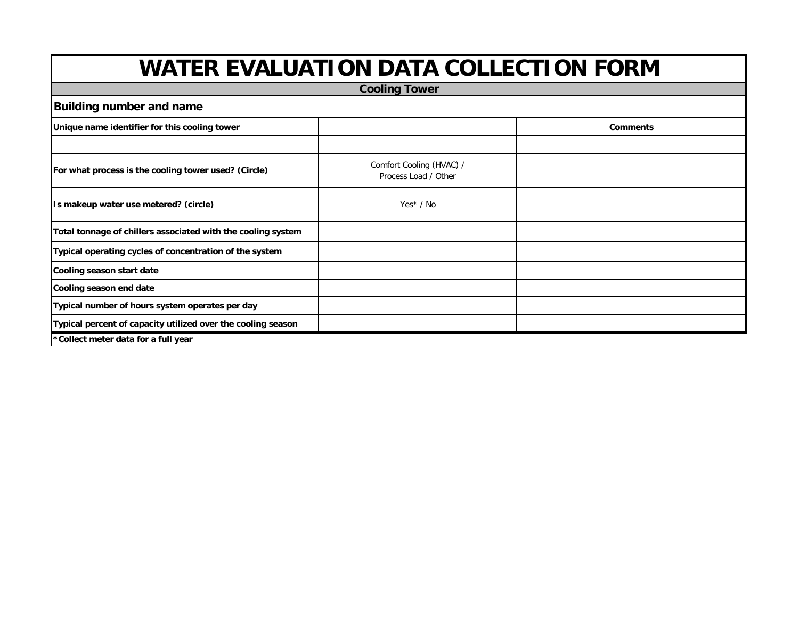| <b>Cooling Tower</b>                                         |                                                  |                 |  |  |  |  |
|--------------------------------------------------------------|--------------------------------------------------|-----------------|--|--|--|--|
| <b>Building number and name</b>                              |                                                  |                 |  |  |  |  |
| Unique name identifier for this cooling tower                |                                                  | <b>Comments</b> |  |  |  |  |
|                                                              |                                                  |                 |  |  |  |  |
| For what process is the cooling tower used? (Circle)         | Comfort Cooling (HVAC) /<br>Process Load / Other |                 |  |  |  |  |
| Is makeup water use metered? (circle)                        | $Yes* / No$                                      |                 |  |  |  |  |
| Total tonnage of chillers associated with the cooling system |                                                  |                 |  |  |  |  |
| Typical operating cycles of concentration of the system      |                                                  |                 |  |  |  |  |
| Cooling season start date                                    |                                                  |                 |  |  |  |  |
| Cooling season end date                                      |                                                  |                 |  |  |  |  |
| Typical number of hours system operates per day              |                                                  |                 |  |  |  |  |
| Typical percent of capacity utilized over the cooling season |                                                  |                 |  |  |  |  |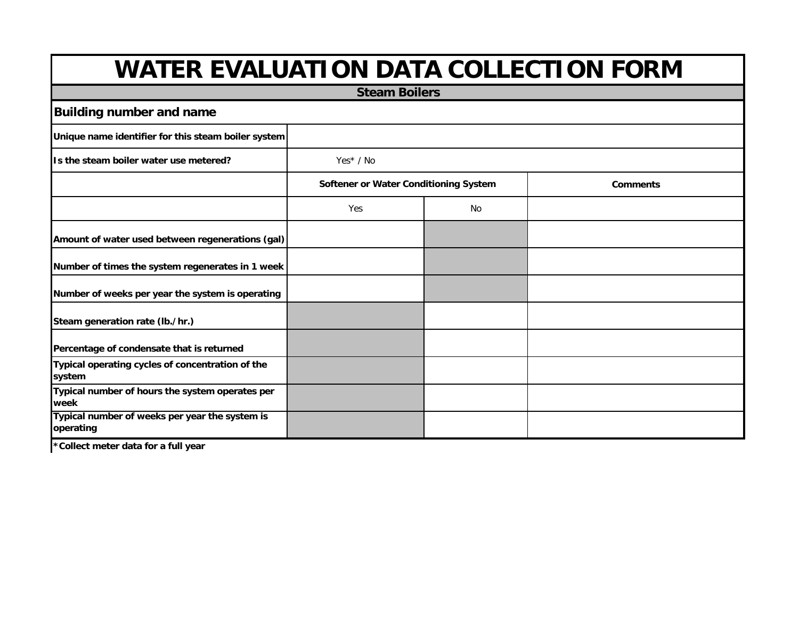|                                                             | <b>Steam Boilers</b>                  |    |                 |
|-------------------------------------------------------------|---------------------------------------|----|-----------------|
| <b>Building number and name</b>                             |                                       |    |                 |
| Unique name identifier for this steam boiler system         |                                       |    |                 |
| Is the steam boiler water use metered?                      | Yes* / No                             |    |                 |
|                                                             | Softener or Water Conditioning System |    | <b>Comments</b> |
|                                                             | Yes                                   | No |                 |
| Amount of water used between regenerations (gal)            |                                       |    |                 |
| Number of times the system regenerates in 1 week            |                                       |    |                 |
| Number of weeks per year the system is operating            |                                       |    |                 |
| Steam generation rate (lb./hr.)                             |                                       |    |                 |
| Percentage of condensate that is returned                   |                                       |    |                 |
| Typical operating cycles of concentration of the<br>system  |                                       |    |                 |
| Typical number of hours the system operates per<br>week     |                                       |    |                 |
| Typical number of weeks per year the system is<br>operating |                                       |    |                 |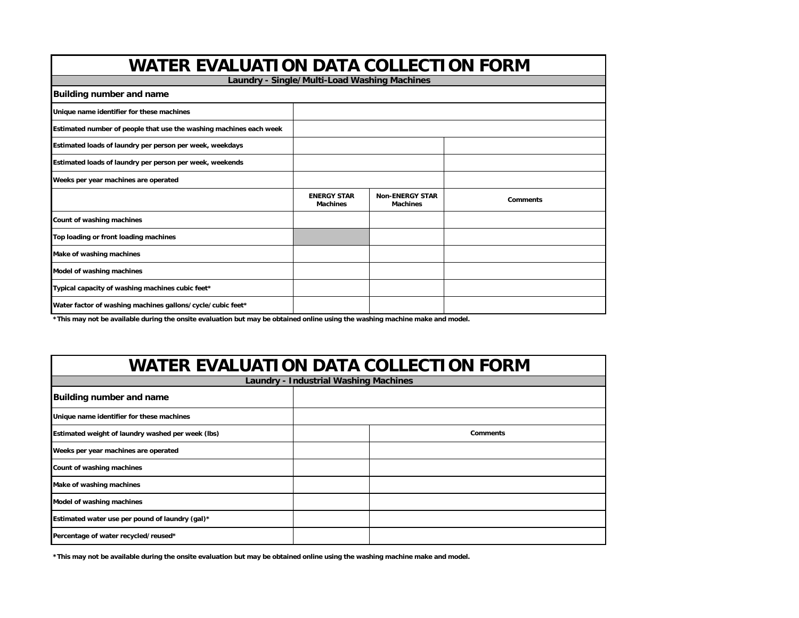| <b>WATER EVALUATION DATA COLLECTION FORM</b>                       |                                              |                                           |                 |  |  |  |  |  |
|--------------------------------------------------------------------|----------------------------------------------|-------------------------------------------|-----------------|--|--|--|--|--|
|                                                                    | Laundry - Single/Multi-Load Washing Machines |                                           |                 |  |  |  |  |  |
| <b>Building number and name</b>                                    |                                              |                                           |                 |  |  |  |  |  |
| Unique name identifier for these machines                          |                                              |                                           |                 |  |  |  |  |  |
| Estimated number of people that use the washing machines each week |                                              |                                           |                 |  |  |  |  |  |
| Estimated loads of laundry per person per week, weekdays           |                                              |                                           |                 |  |  |  |  |  |
| Estimated loads of laundry per person per week, weekends           |                                              |                                           |                 |  |  |  |  |  |
| Weeks per year machines are operated                               |                                              |                                           |                 |  |  |  |  |  |
|                                                                    | <b>ENERGY STAR</b><br><b>Machines</b>        | <b>Non-ENERGY STAR</b><br><b>Machines</b> | <b>Comments</b> |  |  |  |  |  |
| Count of washing machines                                          |                                              |                                           |                 |  |  |  |  |  |
| Top loading or front loading machines                              |                                              |                                           |                 |  |  |  |  |  |
| Make of washing machines                                           |                                              |                                           |                 |  |  |  |  |  |
| Model of washing machines                                          |                                              |                                           |                 |  |  |  |  |  |
| Typical capacity of washing machines cubic feet*                   |                                              |                                           |                 |  |  |  |  |  |
| Water factor of washing machines gallons/cycle/cubic feet*         |                                              |                                           |                 |  |  |  |  |  |

**\*This may not be available during the onsite evaluation but may be obtained online using the washing machine make and model.** 

#### **WATER EVALUATION DATA COLLECTION FORM**

| <b>Laundry - Industrial Washing Machines</b>      |  |                 |  |  |  |  |
|---------------------------------------------------|--|-----------------|--|--|--|--|
| Building number and name                          |  |                 |  |  |  |  |
| Unique name identifier for these machines         |  |                 |  |  |  |  |
| Estimated weight of laundry washed per week (lbs) |  | <b>Comments</b> |  |  |  |  |
| Weeks per year machines are operated              |  |                 |  |  |  |  |
| Count of washing machines                         |  |                 |  |  |  |  |
| Make of washing machines                          |  |                 |  |  |  |  |
| Model of washing machines                         |  |                 |  |  |  |  |
| Estimated water use per pound of laundry (gal)*   |  |                 |  |  |  |  |
| Percentage of water recycled/reused*              |  |                 |  |  |  |  |

**\*This may not be available during the onsite evaluation but may be obtained online using the washing machine make and model.**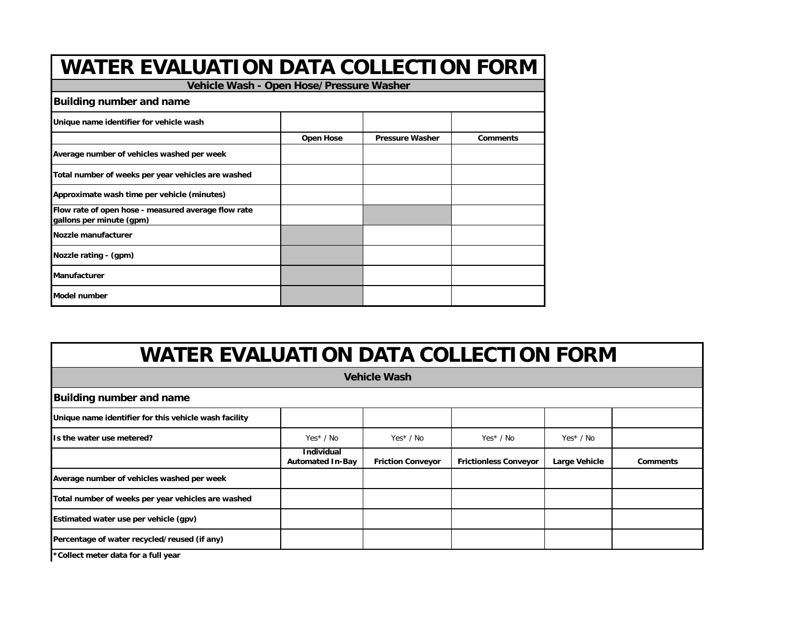| <b>WATER EVALUATION DATA COLLECTION FORM</b>                                    |                  |                        |                 |  |  |  |  |
|---------------------------------------------------------------------------------|------------------|------------------------|-----------------|--|--|--|--|
| Vehicle Wash - Open Hose/Pressure Washer                                        |                  |                        |                 |  |  |  |  |
| <b>Building number and name</b>                                                 |                  |                        |                 |  |  |  |  |
| Unique name identifier for vehicle wash                                         |                  |                        |                 |  |  |  |  |
|                                                                                 | <b>Open Hose</b> | <b>Pressure Washer</b> | <b>Comments</b> |  |  |  |  |
| Average number of vehicles washed per week                                      |                  |                        |                 |  |  |  |  |
| Total number of weeks per year vehicles are washed                              |                  |                        |                 |  |  |  |  |
| Approximate wash time per vehicle (minutes)                                     |                  |                        |                 |  |  |  |  |
| Flow rate of open hose - measured average flow rate<br>gallons per minute (gpm) |                  |                        |                 |  |  |  |  |
| Nozzle manufacturer                                                             |                  |                        |                 |  |  |  |  |
| Nozzle rating - (gpm)                                                           |                  |                        |                 |  |  |  |  |
| <b>Manufacturer</b>                                                             |                  |                        |                 |  |  |  |  |
| <b>Model number</b>                                                             |                  |                        |                 |  |  |  |  |

| <b>Vehicle Wash</b>                                   |                                              |                          |                              |               |                 |  |  |  |
|-------------------------------------------------------|----------------------------------------------|--------------------------|------------------------------|---------------|-----------------|--|--|--|
| <b>Building number and name</b>                       |                                              |                          |                              |               |                 |  |  |  |
| Unique name identifier for this vehicle wash facility |                                              |                          |                              |               |                 |  |  |  |
| Is the water use metered?                             | $Yes* / No$                                  | $Yes* / No$              | Yes* / No                    | $Yes* / No$   |                 |  |  |  |
|                                                       | <b>Individual</b><br><b>Automated In-Bay</b> | <b>Friction Conveyor</b> | <b>Frictionless Conveyor</b> | Large Vehicle | <b>Comments</b> |  |  |  |
| Average number of vehicles washed per week            |                                              |                          |                              |               |                 |  |  |  |
| Total number of weeks per year vehicles are washed    |                                              |                          |                              |               |                 |  |  |  |
| Estimated water use per vehicle (gpv)                 |                                              |                          |                              |               |                 |  |  |  |
| Percentage of water recycled/reused (if any)          |                                              |                          |                              |               |                 |  |  |  |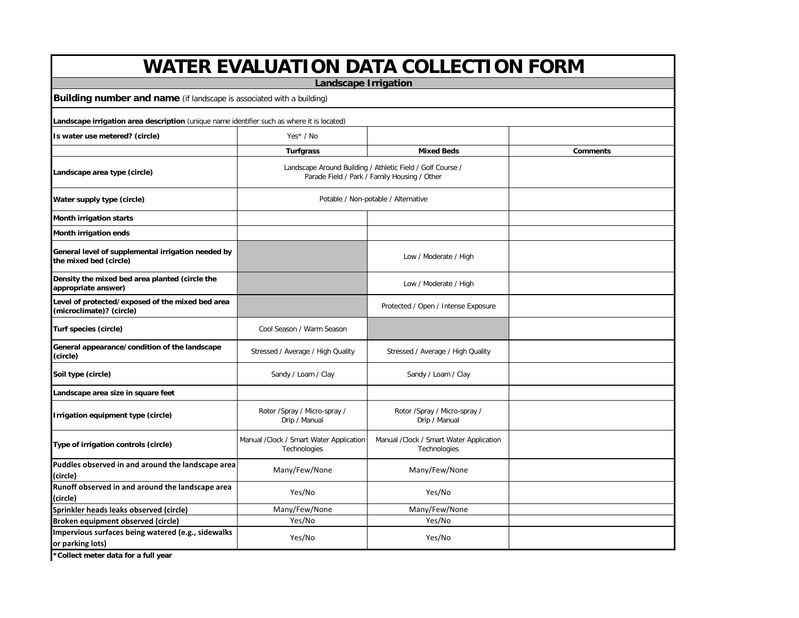|                                                                                            |                                                         | <b>WATER EVALUATION DATA COLLECTION FORM</b>                                                               |                 |  |  |
|--------------------------------------------------------------------------------------------|---------------------------------------------------------|------------------------------------------------------------------------------------------------------------|-----------------|--|--|
|                                                                                            | <b>Landscape Irrigation</b>                             |                                                                                                            |                 |  |  |
| Building number and name (if landscape is associated with a building)                      |                                                         |                                                                                                            |                 |  |  |
| Landscape irrigation area description (unique name identifier such as where it is located) |                                                         |                                                                                                            |                 |  |  |
| Is water use metered? (circle)                                                             | Yes* / No                                               |                                                                                                            |                 |  |  |
|                                                                                            | <b>Turfgrass</b>                                        | <b>Mixed Beds</b>                                                                                          | <b>Comments</b> |  |  |
| Landscape area type (circle)                                                               |                                                         | Landscape Around Building / Athletic Field / Golf Course /<br>Parade Field / Park / Family Housing / Other |                 |  |  |
| Water supply type (circle)                                                                 |                                                         | Potable / Non-potable / Alternative                                                                        |                 |  |  |
| <b>Month irrigation starts</b>                                                             |                                                         |                                                                                                            |                 |  |  |
| Month irrigation ends                                                                      |                                                         |                                                                                                            |                 |  |  |
| General level of supplemental irrigation needed by<br>the mixed bed (circle)               |                                                         | Low / Moderate / High                                                                                      |                 |  |  |
| Density the mixed bed area planted (circle the<br>appropriate answer)                      |                                                         | Low / Moderate / High                                                                                      |                 |  |  |
| Level of protected/exposed of the mixed bed area<br>(microclimate)? (circle)               |                                                         | Protected / Open / Intense Exposure                                                                        |                 |  |  |
| Turf species (circle)                                                                      | Cool Season / Warm Season                               |                                                                                                            |                 |  |  |
| General appearance/condition of the landscape<br>(circle)                                  | Stressed / Average / High Quality                       | Stressed / Average / High Quality                                                                          |                 |  |  |
| Soil type (circle)                                                                         | Sandy / Loam / Clay                                     | Sandy / Loam / Clay                                                                                        |                 |  |  |
| Landscape area size in square feet                                                         |                                                         |                                                                                                            |                 |  |  |
| Irrigation equipment type (circle)                                                         | Rotor /Spray / Micro-spray /<br>Drip / Manual           | Rotor /Spray / Micro-spray /<br>Drip / Manual                                                              |                 |  |  |
| Type of irrigation controls (circle)                                                       | Manual /Clock / Smart Water Application<br>Technologies | Manual /Clock / Smart Water Application<br>Technologies                                                    |                 |  |  |
| Puddles observed in and around the landscape area<br>(circle)                              | Many/Few/None                                           | Many/Few/None                                                                                              |                 |  |  |
| Runoff observed in and around the landscape area<br>(circle)                               | Yes/No                                                  | Yes/No                                                                                                     |                 |  |  |
| Sprinkler heads leaks observed (circle)                                                    | Many/Few/None                                           | Many/Few/None                                                                                              |                 |  |  |
| Broken equipment observed (circle)                                                         | Yes/No                                                  | Yes/No                                                                                                     |                 |  |  |
| Impervious surfaces being watered (e.g., sidewalks<br>or parking lots)                     | Yes/No                                                  | Yes/No                                                                                                     |                 |  |  |